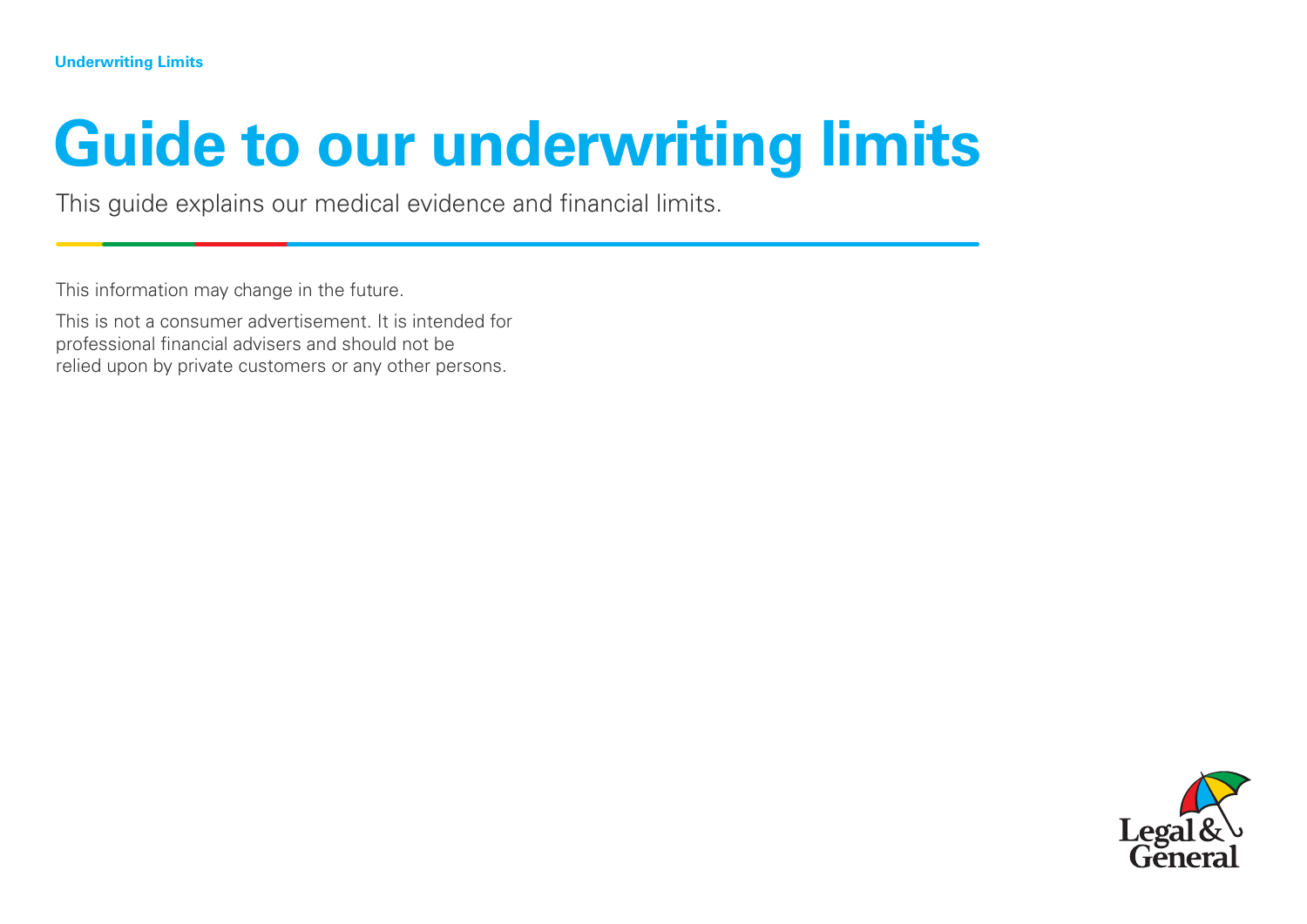# **Guide to our underwriting limits**

This guide explains our medical evidence and financial limits.

This information may change in the future.

This is not a consumer advertisement. It is intended for professional financial advisers and should not be relied upon by private customers or any other persons.

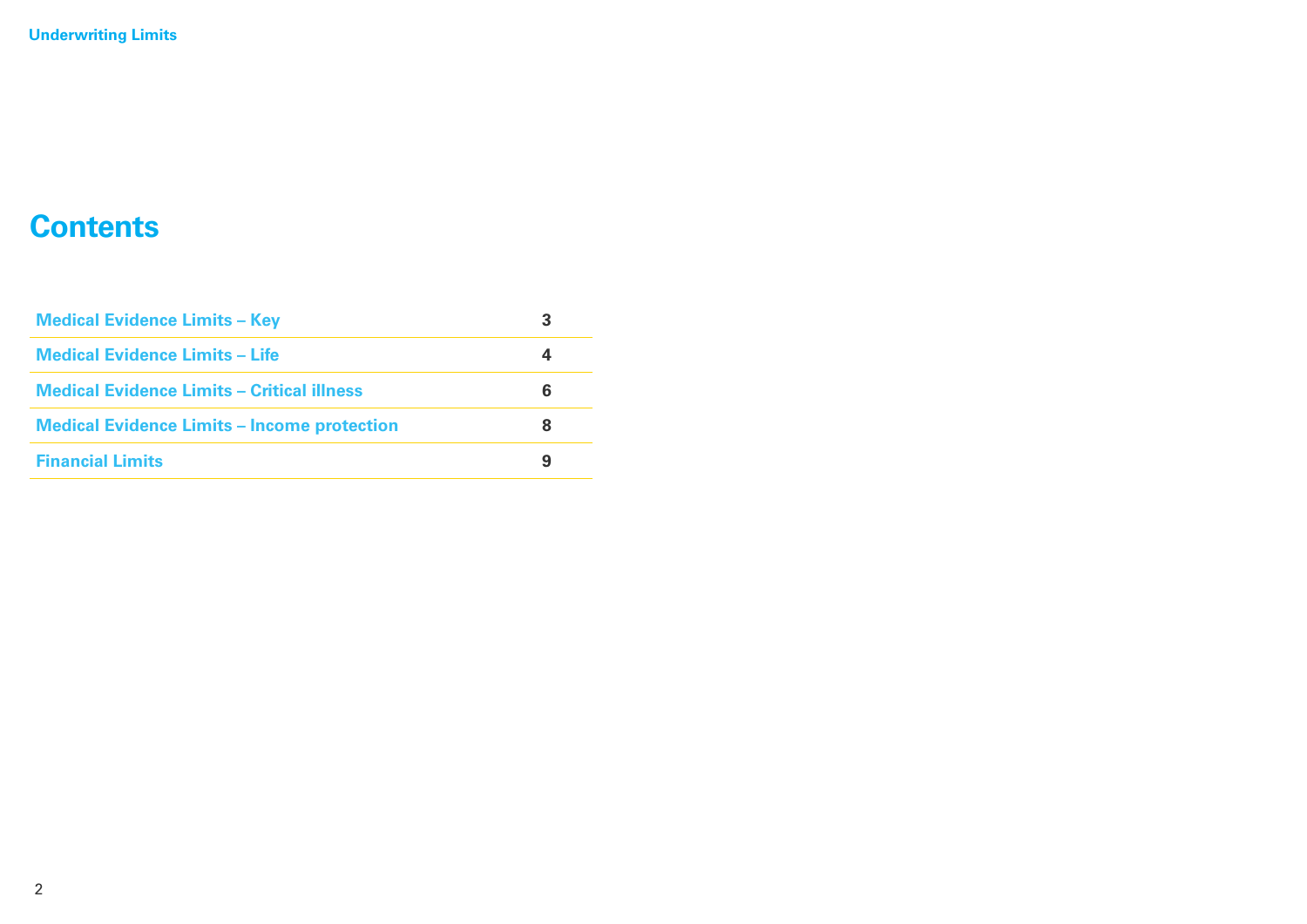#### **Contents**

| <b>Medical Evidence Limits - Key</b>               | З |
|----------------------------------------------------|---|
| <b>Medical Evidence Limits - Life</b>              |   |
| Medical Evidence Limits - Critical illness         | 6 |
| <b>Medical Evidence Limits – Income protection</b> | 8 |
| <b>Financial Limits</b>                            | 9 |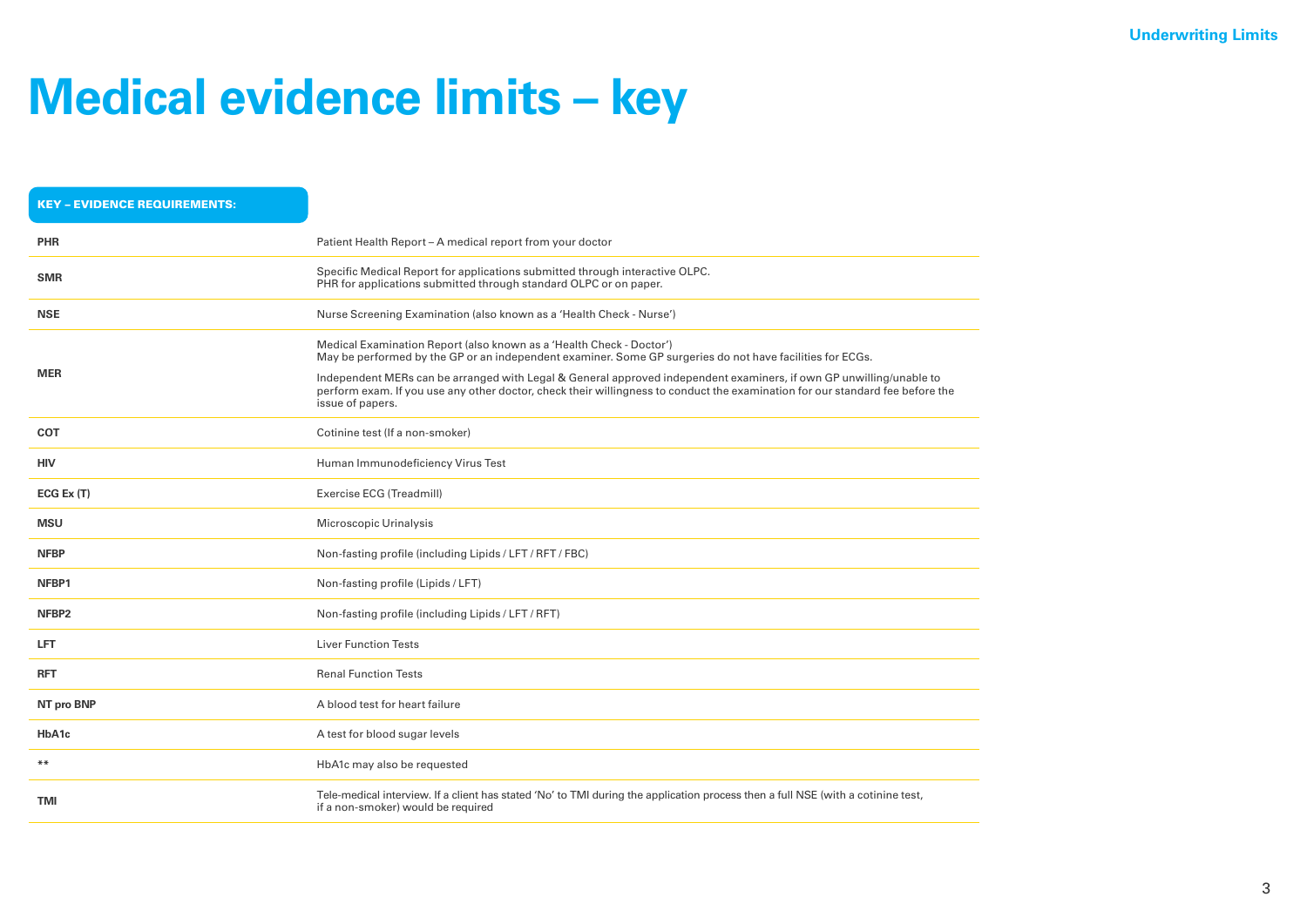#### **Medical evidence limits – key**

| <b>KEY - EVIDENCE REQUIREMENTS:</b> |                                                                                                                                                                                                                                                                                                                                                                                                                                                               |
|-------------------------------------|---------------------------------------------------------------------------------------------------------------------------------------------------------------------------------------------------------------------------------------------------------------------------------------------------------------------------------------------------------------------------------------------------------------------------------------------------------------|
| <b>PHR</b>                          | Patient Health Report - A medical report from your doctor                                                                                                                                                                                                                                                                                                                                                                                                     |
| <b>SMR</b>                          | Specific Medical Report for applications submitted through interactive OLPC.<br>PHR for applications submitted through standard OLPC or on paper.                                                                                                                                                                                                                                                                                                             |
| <b>NSE</b>                          | Nurse Screening Examination (also known as a 'Health Check - Nurse')                                                                                                                                                                                                                                                                                                                                                                                          |
| <b>MER</b>                          | Medical Examination Report (also known as a 'Health Check - Doctor')<br>May be performed by the GP or an independent examiner. Some GP surgeries do not have facilities for ECGs.<br>Independent MERs can be arranged with Legal & General approved independent examiners, if own GP unwilling/unable to<br>perform exam. If you use any other doctor, check their willingness to conduct the examination for our standard fee before the<br>issue of papers. |
| <b>COT</b>                          | Cotinine test (If a non-smoker)                                                                                                                                                                                                                                                                                                                                                                                                                               |
| <b>HIV</b>                          | Human Immunodeficiency Virus Test                                                                                                                                                                                                                                                                                                                                                                                                                             |
| ECG Ex(T)                           | Exercise ECG (Treadmill)                                                                                                                                                                                                                                                                                                                                                                                                                                      |
| <b>MSU</b>                          | Microscopic Urinalysis                                                                                                                                                                                                                                                                                                                                                                                                                                        |
| <b>NFBP</b>                         | Non-fasting profile (including Lipids / LFT / RFT / FBC)                                                                                                                                                                                                                                                                                                                                                                                                      |
| NFBP1                               | Non-fasting profile (Lipids / LFT)                                                                                                                                                                                                                                                                                                                                                                                                                            |
| NFBP <sub>2</sub>                   | Non-fasting profile (including Lipids / LFT / RFT)                                                                                                                                                                                                                                                                                                                                                                                                            |
| <b>LFT</b>                          | <b>Liver Function Tests</b>                                                                                                                                                                                                                                                                                                                                                                                                                                   |
| <b>RFT</b>                          | <b>Renal Function Tests</b>                                                                                                                                                                                                                                                                                                                                                                                                                                   |
| NT pro BNP                          | A blood test for heart failure                                                                                                                                                                                                                                                                                                                                                                                                                                |
| HbA1c                               | A test for blood sugar levels                                                                                                                                                                                                                                                                                                                                                                                                                                 |
| $***$                               | HbA1c may also be requested                                                                                                                                                                                                                                                                                                                                                                                                                                   |
| <b>TMI</b>                          | Tele-medical interview. If a client has stated 'No' to TMI during the application process then a full NSE (with a cotinine test,<br>if a non-smoker) would be required                                                                                                                                                                                                                                                                                        |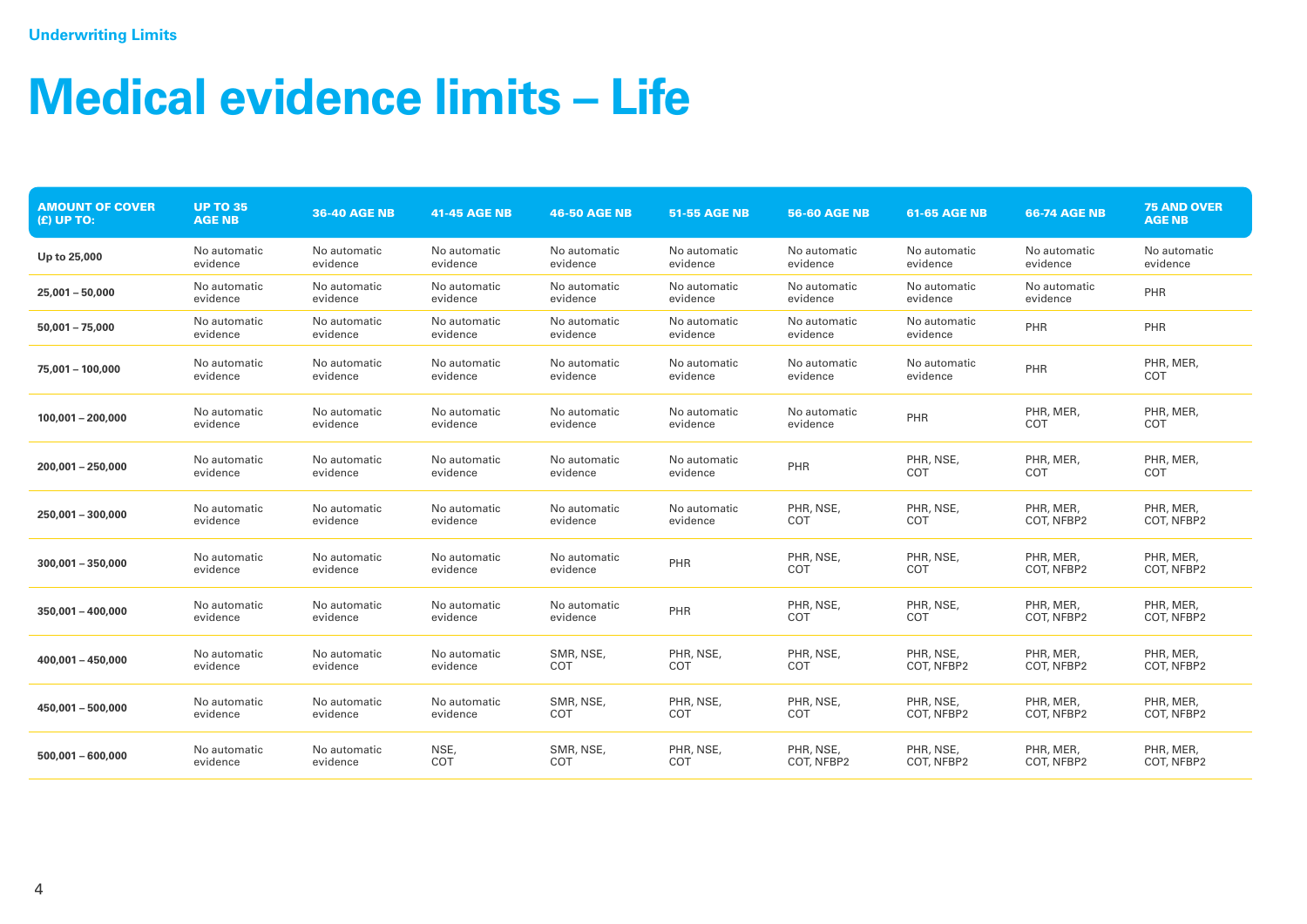## **Medical evidence limits – Life**

| <b>AMOUNT OF COVER</b><br>$(E)$ UP TO: | <b>UP TO 35</b><br><b>AGE NB</b> | <b>36-40 AGE NB</b>      | <b>41-45 AGE NB</b>      | <b>46-50 AGE NB</b>      | <b>51-55 AGE NB</b>      | <b>56-60 AGE NB</b>      | <b>61-65 AGE NB</b>      | <b>66-74 AGE NB</b>      | <b>75 AND OVER</b><br><b>AGE NB</b> |
|----------------------------------------|----------------------------------|--------------------------|--------------------------|--------------------------|--------------------------|--------------------------|--------------------------|--------------------------|-------------------------------------|
| Up to 25,000                           | No automatic<br>evidence         | No automatic<br>evidence | No automatic<br>evidence | No automatic<br>evidence | No automatic<br>evidence | No automatic<br>evidence | No automatic<br>evidence | No automatic<br>evidence | No automatic<br>evidence            |
| $25,001 - 50,000$                      | No automatic<br>evidence         | No automatic<br>evidence | No automatic<br>evidence | No automatic<br>evidence | No automatic<br>evidence | No automatic<br>evidence | No automatic<br>evidence | No automatic<br>evidence | PHR                                 |
| $50,001 - 75,000$                      | No automatic<br>evidence         | No automatic<br>evidence | No automatic<br>evidence | No automatic<br>evidence | No automatic<br>evidence | No automatic<br>evidence | No automatic<br>evidence | PHR                      | PHR                                 |
| 75,001 - 100,000                       | No automatic<br>evidence         | No automatic<br>evidence | No automatic<br>evidence | No automatic<br>evidence | No automatic<br>evidence | No automatic<br>evidence | No automatic<br>evidence | PHR                      | PHR, MER,<br>COT                    |
| $100,001 - 200,000$                    | No automatic<br>evidence         | No automatic<br>evidence | No automatic<br>evidence | No automatic<br>evidence | No automatic<br>evidence | No automatic<br>evidence | PHR                      | PHR, MER,<br>COT         | PHR, MER,<br>COT                    |
| $200,001 - 250,000$                    | No automatic<br>evidence         | No automatic<br>evidence | No automatic<br>evidence | No automatic<br>evidence | No automatic<br>evidence | PHR                      | PHR, NSE,<br>COT         | PHR, MER<br>COT          | PHR, MER<br>COT                     |
| 250,001 - 300,000                      | No automatic<br>evidence         | No automatic<br>evidence | No automatic<br>evidence | No automatic<br>evidence | No automatic<br>evidence | PHR, NSE,<br>COT         | PHR, NSE,<br>COT         | PHR, MER<br>COT, NFBP2   | PHR, MER,<br>COT, NFBP2             |
| $300.001 - 350.000$                    | No automatic<br>evidence         | No automatic<br>evidence | No automatic<br>evidence | No automatic<br>evidence | PHR                      | PHR, NSE,<br>COT         | PHR, NSE,<br>COT         | PHR, MER,<br>COT, NFBP2  | PHR, MER,<br>COT, NFBP2             |
| $350.001 - 400.000$                    | No automatic<br>evidence         | No automatic<br>evidence | No automatic<br>evidence | No automatic<br>evidence | PHR                      | PHR, NSE,<br>COT         | PHR, NSE,<br>COT         | PHR, MER,<br>COT, NFBP2  | PHR, MER,<br>COT, NFBP2             |
| $400.001 - 450.000$                    | No automatic<br>evidence         | No automatic<br>evidence | No automatic<br>evidence | SMR, NSE,<br>COT         | PHR, NSE,<br>COT         | PHR, NSE,<br>COT         | PHR, NSE,<br>COT, NFBP2  | PHR, MER,<br>COT, NFBP2  | PHR, MER,<br>COT, NFBP2             |
| 450,001 - 500,000                      | No automatic<br>evidence         | No automatic<br>evidence | No automatic<br>evidence | SMR, NSE,<br>COT         | PHR, NSE,<br>COT         | PHR, NSE,<br>COT         | PHR, NSE,<br>COT, NFBP2  | PHR, MER,<br>COT, NFBP2  | PHR, MER,<br>COT, NFBP2             |
| $500.001 - 600.000$                    | No automatic<br>evidence         | No automatic<br>evidence | NSE,<br>COT              | SMR, NSE,<br>COT         | PHR, NSE,<br>COT         | PHR, NSE,<br>COT, NFBP2  | PHR, NSE,<br>COT, NFBP2  | PHR, MER,<br>COT, NFBP2  | PHR, MER,<br>COT, NFBP2             |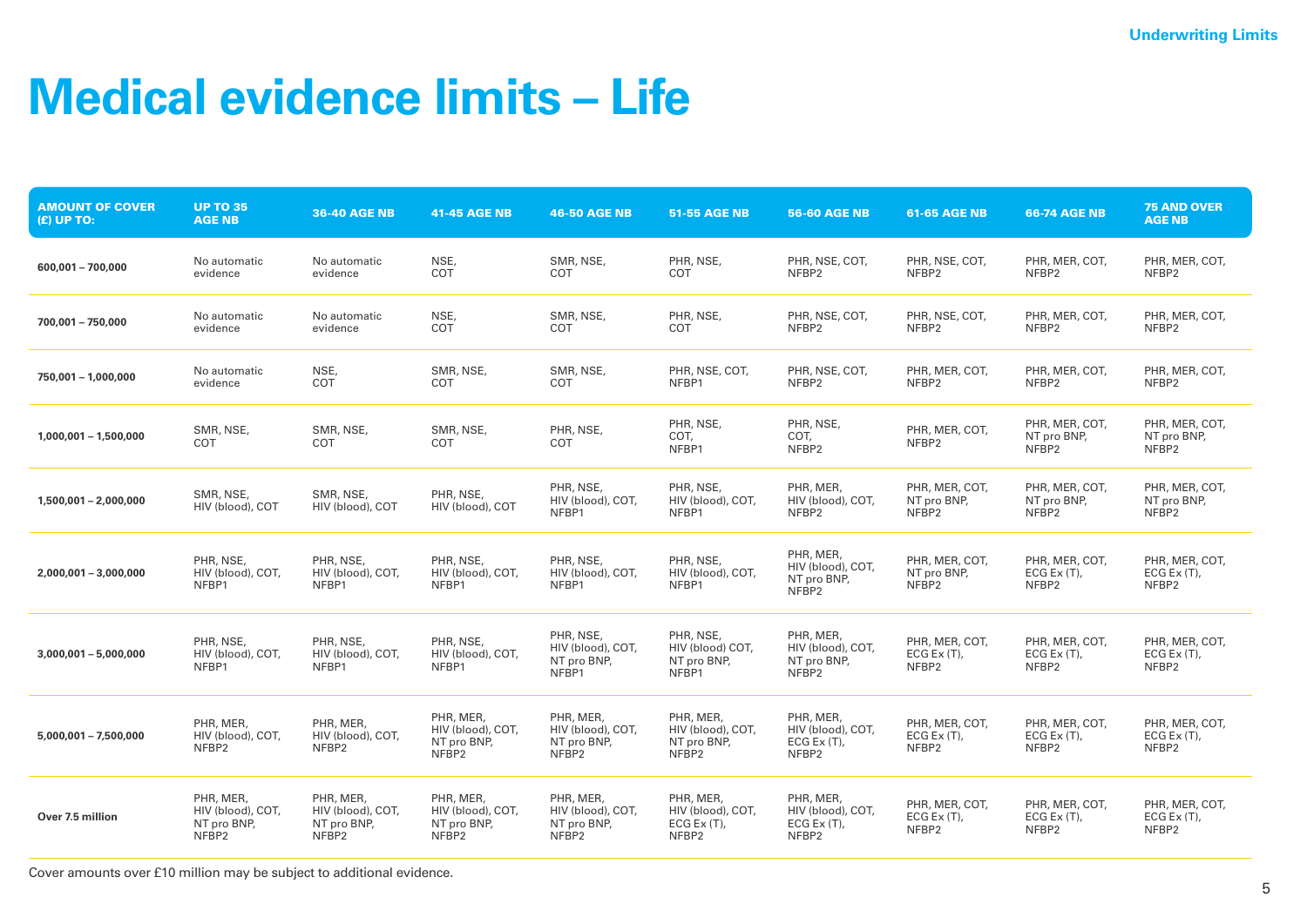## **Medical evidence limits – Life**

| <b>AMOUNT OF COVER</b><br>$(E)$ UP TO: | <b>UP TO 35</b><br><b>AGE NB</b>                       | <b>36-40 AGE NB</b>                                    | <b>41-45 AGE NB</b>                                    | <b>46-50 AGE NB</b>                                    | <b>51-55 AGE NB</b>                                       | <b>56-60 AGE NB</b>                                                | <b>61-65 AGE NB</b>                       | <b>66-74 AGE NB</b>                                | <b>75 AND OVER</b><br><b>AGE NB</b>                |
|----------------------------------------|--------------------------------------------------------|--------------------------------------------------------|--------------------------------------------------------|--------------------------------------------------------|-----------------------------------------------------------|--------------------------------------------------------------------|-------------------------------------------|----------------------------------------------------|----------------------------------------------------|
| 600,001 - 700,000                      | No automatic<br>evidence                               | No automatic<br>evidence                               | NSE,<br>COT                                            | SMR, NSE,<br>COT                                       | PHR, NSE,<br>COT                                          | PHR, NSE, COT,<br>NFBP2                                            | PHR, NSE, COT,<br>NFBP2                   | PHR, MER, COT,<br>NFBP2                            | PHR, MER, COT,<br>NFBP2                            |
| 700,001 - 750,000                      | No automatic<br>evidence                               | No automatic<br>evidence                               | NSE,<br>COT                                            | SMR, NSE,<br><b>COT</b>                                | PHR, NSE,<br>COT                                          | PHR, NSE, COT,<br>NFBP2                                            | PHR, NSE, COT,<br>NFBP2                   | PHR, MER, COT,<br>NFBP2                            | PHR, MER, COT,<br>NFBP2                            |
| 750,001 - 1,000,000                    | No automatic<br>evidence                               | NSE,<br>COT                                            | SMR, NSE,<br>COT                                       | SMR, NSE,<br>COT                                       | PHR, NSE, COT,<br>NFBP1                                   | PHR, NSE, COT,<br>NFBP2                                            | PHR, MER, COT,<br>NFBP2                   | PHR, MER, COT,<br>NFBP2                            | PHR, MER, COT,<br>NFBP2                            |
| $1,000,001 - 1,500,000$                | SMR, NSE,<br>COT                                       | SMR, NSE,<br><b>COT</b>                                | SMR, NSE,<br><b>COT</b>                                | PHR, NSE,<br>COT                                       | PHR, NSE,<br>COT,<br>NFBP1                                | PHR, NSE,<br>COT,<br>NFBP <sub>2</sub>                             | PHR, MER, COT,<br>NFBP2                   | PHR, MER, COT,<br>NT pro BNP,<br>NFBP <sub>2</sub> | PHR, MER, COT,<br>NT pro BNP,<br>NFBP <sub>2</sub> |
| $1,500,001 - 2,000,000$                | SMR, NSE,<br>HIV (blood), COT                          | SMR, NSE,<br>HIV (blood), COT                          | PHR, NSE,<br>HIV (blood), COT                          | PHR, NSE,<br>HIV (blood), COT,<br>NFBP1                | PHR, NSE,<br>HIV (blood), COT,<br>NFBP1                   | PHR, MER,<br>HIV (blood), COT,<br>NFBP2                            | PHR, MER, COT,<br>NT pro BNP,<br>NFBP2    | PHR, MER, COT,<br>NT pro BNP,<br>NFBP2             | PHR, MER, COT,<br>NT pro BNP,<br>NFBP2             |
| $2,000,001 - 3,000,000$                | PHR, NSE,<br>HIV (blood), COT,<br>NFBP1                | PHR, NSE,<br>HIV (blood), COT,<br>NFBP1                | PHR, NSE,<br>HIV (blood), COT,<br>NFBP1                | PHR, NSE,<br>HIV (blood), COT,<br>NFBP1                | PHR, NSE,<br>HIV (blood), COT,<br>NFBP1                   | PHR, MER,<br>HIV (blood), COT,<br>NT pro BNP,<br>NFBP <sub>2</sub> | PHR, MER, COT,<br>NT pro BNP,<br>NFBP2    | PHR, MER, COT,<br>ECG Ex $(T)$ ,<br>NFBP2          | PHR, MER, COT,<br>ECG $Ex(T)$ ,<br>NFBP2           |
| $3,000,001 - 5,000,000$                | PHR, NSE,<br>HIV (blood), COT,<br>NFBP1                | PHR, NSE,<br>HIV (blood), COT,<br>NFBP1                | PHR, NSE,<br>HIV (blood), COT,<br>NFBP1                | PHR, NSE,<br>HIV (blood), COT,<br>NT pro BNP,<br>NFBP1 | PHR, NSE,<br>HIV (blood) COT,<br>NT pro BNP,<br>NFBP1     | PHR, MER,<br>HIV (blood), COT,<br>NT pro BNP,<br>NFBP2             | PHR, MER, COT,<br>ECG Ex $(T)$ ,<br>NFBP2 | PHR, MER, COT,<br>ECG Ex $(T)$ ,<br>NFBP2          | PHR, MER, COT,<br>ECG Ex $(T)$ ,<br>NFBP2          |
| $5,000,001 - 7,500,000$                | PHR, MER,<br>HIV (blood), COT,<br>NFBP2                | PHR, MER,<br>HIV (blood), COT,<br>NFBP2                | PHR, MER,<br>HIV (blood), COT,<br>NT pro BNP,<br>NFBP2 | PHR, MER,<br>HIV (blood), COT,<br>NT pro BNP,<br>NFBP2 | PHR, MER,<br>HIV (blood), COT,<br>NT pro BNP,<br>NFBP2    | PHR, MER,<br>HIV (blood), COT,<br>ECG Ex $(T)$ ,<br>NFBP2          | PHR, MER, COT,<br>ECG Ex $(T)$ ,<br>NFBP2 | PHR, MER, COT,<br>ECG Ex $(T)$ ,<br>NFBP2          | PHR, MER, COT,<br>ECG Ex $(T)$ ,<br>NFBP2          |
| Over 7.5 million                       | PHR, MER,<br>HIV (blood), COT,<br>NT pro BNP,<br>NFBP2 | PHR, MER,<br>HIV (blood), COT,<br>NT pro BNP,<br>NFBP2 | PHR, MER,<br>HIV (blood), COT,<br>NT pro BNP,<br>NFBP2 | PHR, MER,<br>HIV (blood), COT,<br>NT pro BNP,<br>NFBP2 | PHR, MER,<br>HIV (blood), COT,<br>ECG Ex $(T)$ ,<br>NFBP2 | PHR, MER,<br>HIV (blood), COT,<br>ECG Ex $(T)$ ,<br>NFBP2          | PHR, MER, COT,<br>ECG Ex $(T)$ ,<br>NFBP2 | PHR, MER, COT,<br>ECG Ex $(T)$ ,<br>NFBP2          | PHR, MER, COT,<br>ECG Ex $(T)$ ,<br>NFBP2          |

Cover amounts over £10 million may be subject to additional evidence.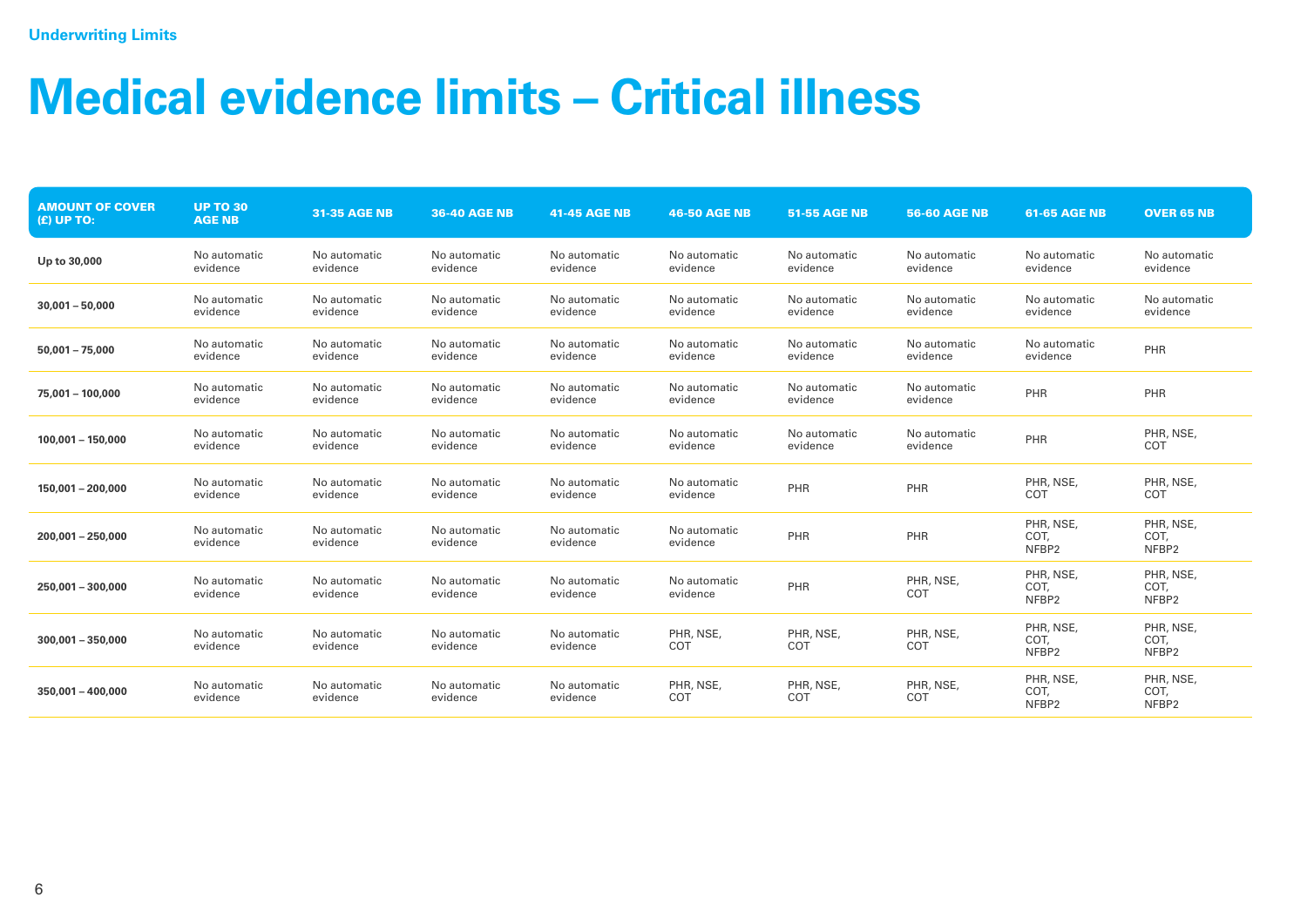## **Medical evidence limits – Critical illness**

| <b>AMOUNT OF COVER</b><br>(£) UP TO: | <b>UP TO 30</b><br><b>AGE NB</b> | <b>31-35 AGE NB</b>      | <b>36-40 AGE NB</b>      | 41-45 AGE NB             | <b>46-50 AGE NB</b>      | <b>51-55 AGE NB</b>      | <b>56-60 AGE NB</b>      | <b>61-65 AGE NB</b>        | <b>OVER 65 NB</b>          |
|--------------------------------------|----------------------------------|--------------------------|--------------------------|--------------------------|--------------------------|--------------------------|--------------------------|----------------------------|----------------------------|
| Up to 30,000                         | No automatic<br>evidence         | No automatic<br>evidence | No automatic<br>evidence | No automatic<br>evidence | No automatic<br>evidence | No automatic<br>evidence | No automatic<br>evidence | No automatic<br>evidence   | No automatic<br>evidence   |
| $30,001 - 50,000$                    | No automatic<br>evidence         | No automatic<br>evidence | No automatic<br>evidence | No automatic<br>evidence | No automatic<br>evidence | No automatic<br>evidence | No automatic<br>evidence | No automatic<br>evidence   | No automatic<br>evidence   |
| $50.001 - 75.000$                    | No automatic<br>evidence         | No automatic<br>evidence | No automatic<br>evidence | No automatic<br>evidence | No automatic<br>evidence | No automatic<br>evidence | No automatic<br>evidence | No automatic<br>evidence   | PHR                        |
| 75,001 - 100,000                     | No automatic<br>evidence         | No automatic<br>evidence | No automatic<br>evidence | No automatic<br>evidence | No automatic<br>evidence | No automatic<br>evidence | No automatic<br>evidence | PHR                        | PHR                        |
| $100.001 - 150.000$                  | No automatic<br>evidence         | No automatic<br>evidence | No automatic<br>evidence | No automatic<br>evidence | No automatic<br>evidence | No automatic<br>evidence | No automatic<br>evidence | PHR                        | PHR, NSE,<br>COT           |
| 150,001 - 200,000                    | No automatic<br>evidence         | No automatic<br>evidence | No automatic<br>evidence | No automatic<br>evidence | No automatic<br>evidence | PHR                      | PHR                      | PHR, NSE,<br>COT           | PHR, NSE,<br>COT           |
| $200.001 - 250.000$                  | No automatic<br>evidence         | No automatic<br>evidence | No automatic<br>evidence | No automatic<br>evidence | No automatic<br>evidence | PHR                      | PHR                      | PHR, NSE,<br>COT,<br>NFBP2 | PHR, NSE,<br>COT,<br>NFBP2 |
| 250,001 - 300,000                    | No automatic<br>evidence         | No automatic<br>evidence | No automatic<br>evidence | No automatic<br>evidence | No automatic<br>evidence | PHR                      | PHR, NSE,<br>COT         | PHR, NSE,<br>COT,<br>NFBP2 | PHR, NSE,<br>COT,<br>NFBP2 |
| $300.001 - 350.000$                  | No automatic<br>evidence         | No automatic<br>evidence | No automatic<br>evidence | No automatic<br>evidence | PHR, NSE,<br>COT         | PHR, NSE,<br>COT         | PHR, NSE,<br>COT         | PHR, NSE,<br>COT,<br>NFBP2 | PHR, NSE,<br>COT,<br>NFBP2 |
| $350,001 - 400,000$                  | No automatic<br>evidence         | No automatic<br>evidence | No automatic<br>evidence | No automatic<br>evidence | PHR, NSE,<br>COT         | PHR, NSE,<br>COT         | PHR, NSE,<br>COT         | PHR, NSE,<br>COT,<br>NFBP2 | PHR, NSE,<br>COT,<br>NFBP2 |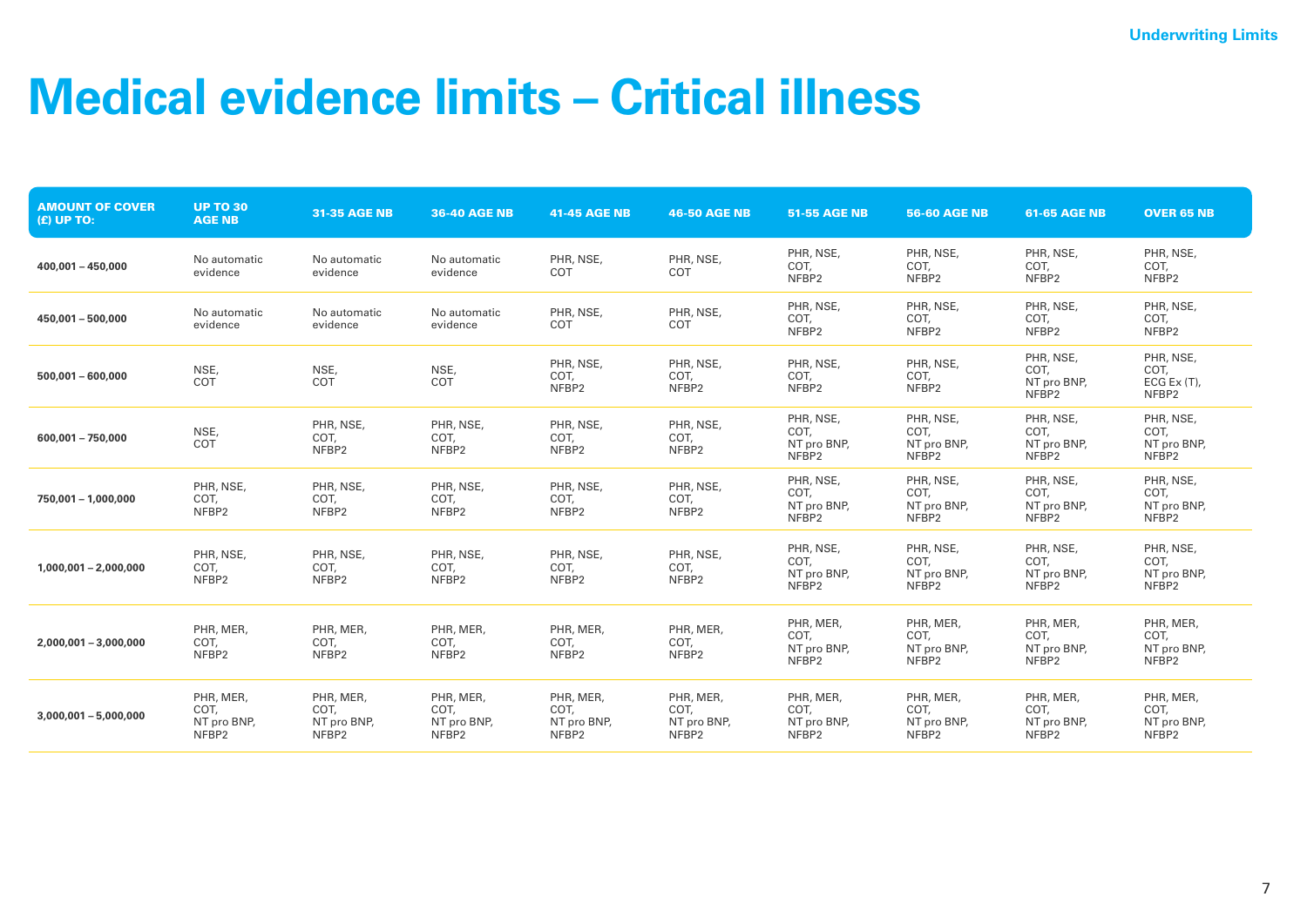#### **Medical evidence limits – Critical illness**

| <b>AMOUNT OF COVER</b><br>$(E)$ UP TO: | <b>UP TO 30</b><br><b>AGE NB</b>          | 31-35 AGE NB                              | <b>36-40 AGE NB</b>                       | <b>41-45 AGE NB</b>                       | <b>46-50 AGE NB</b>                       | <b>51-55 AGE NB</b>                                   | <b>56-60 AGE NB</b>                                   | <b>61-65 AGE NB</b>                                   | <b>OVER 65 NB</b>                                     |
|----------------------------------------|-------------------------------------------|-------------------------------------------|-------------------------------------------|-------------------------------------------|-------------------------------------------|-------------------------------------------------------|-------------------------------------------------------|-------------------------------------------------------|-------------------------------------------------------|
| $400,001 - 450,000$                    | No automatic<br>evidence                  | No automatic<br>evidence                  | No automatic<br>evidence                  | PHR, NSE,<br>COT                          | PHR, NSE,<br>COT                          | PHR, NSE,<br>COT,<br>NFBP2                            | PHR, NSE,<br>COT,<br>NFBP2                            | PHR, NSE,<br>COT,<br>NFBP2                            | PHR, NSE,<br>COT,<br>NFBP2                            |
| $450,001 - 500,000$                    | No automatic<br>evidence                  | No automatic<br>evidence                  | No automatic<br>evidence                  | PHR, NSE,<br>COT                          | PHR, NSE,<br>COT                          | PHR, NSE,<br>COT,<br>NFBP2                            | PHR, NSE,<br>COT,<br>NFBP2                            | PHR, NSE,<br>COT,<br>NFBP2                            | PHR, NSE,<br>COT,<br>NFBP2                            |
| $500.001 - 600.000$                    | NSE,<br>COT                               | NSE,<br>COT                               | NSE,<br>COT                               | PHR, NSE,<br>COT,<br>NFBP2                | PHR, NSE,<br>COT,<br>NFBP2                | PHR, NSE,<br>COT,<br>NFBP2                            | PHR, NSE,<br>COT,<br>NFBP2                            | PHR, NSE,<br>COT,<br>NT pro BNP,<br>NFBP2             | PHR, NSE,<br>COT,<br>$ECG Ex(T)$ ,<br>NFBP2           |
| $600.001 - 750.000$                    | NSE,<br>COT                               | PHR, NSE,<br>COT,<br>NFBP2                | PHR, NSE,<br>COT,<br>NFBP2                | PHR, NSE,<br>COT,<br>NFBP2                | PHR, NSE,<br>COT,<br>NFBP2                | PHR, NSE,<br>COT,<br>NT pro BNP,<br>NFBP <sub>2</sub> | PHR, NSE,<br>COT,<br>NT pro BNP,<br>NFBP <sub>2</sub> | PHR, NSE,<br>COT,<br>NT pro BNP,<br>NFBP <sub>2</sub> | PHR, NSE,<br>COT,<br>NT pro BNP,<br>NFBP <sub>2</sub> |
| 750,001 - 1,000,000                    | PHR, NSE,<br>COT,<br>NFBP2                | PHR, NSE,<br>COT,<br>NFBP2                | PHR, NSE,<br>COT,<br>NFBP2                | PHR, NSE,<br>COT,<br>NFBP2                | PHR, NSE,<br>COT,<br>NFBP2                | PHR, NSE,<br>COT,<br>NT pro BNP,<br>NFBP <sub>2</sub> | PHR, NSE,<br>COT,<br>NT pro BNP,<br>NFBP <sub>2</sub> | PHR, NSE,<br>COT.<br>NT pro BNP,<br>NFBP <sub>2</sub> | PHR, NSE,<br>COT,<br>NT pro BNP,<br>NFBP <sub>2</sub> |
| $1,000,001 - 2,000,000$                | PHR, NSE,<br>COT,<br>NFBP2                | PHR, NSE,<br>COT,<br>NFBP2                | PHR, NSE,<br>COT,<br>NFBP2                | PHR, NSE,<br>COT,<br>NFBP2                | PHR, NSE,<br>COT,<br>NFBP2                | PHR, NSE,<br>COT,<br>NT pro BNP,<br>NFBP <sub>2</sub> | PHR, NSE,<br>COT,<br>NT pro BNP,<br>NFBP2             | PHR, NSE,<br>COT,<br>NT pro BNP,<br>NFBP <sub>2</sub> | PHR, NSE,<br>COT,<br>NT pro BNP,<br>NFBP <sub>2</sub> |
| $2,000,001 - 3,000,000$                | PHR, MER,<br>COT,<br>NFBP2                | PHR, MER,<br>COT,<br>NFBP2                | PHR, MER,<br>COT,<br>NFBP2                | PHR, MER,<br>COT,<br>NFBP2                | PHR, MER,<br>COT,<br>NFBP2                | PHR, MER,<br>COT,<br>NT pro BNP,<br>NFBP <sub>2</sub> | PHR, MER,<br>COT,<br>NT pro BNP,<br>NFBP2             | PHR, MER,<br>COT,<br>NT pro BNP,<br>NFBP <sub>2</sub> | PHR, MER,<br>COT,<br>NT pro BNP,<br>NFBP <sub>2</sub> |
| $3,000,001 - 5,000,000$                | PHR, MER,<br>COT,<br>NT pro BNP,<br>NFBP2 | PHR, MER,<br>COT,<br>NT pro BNP,<br>NFBP2 | PHR, MER,<br>COT,<br>NT pro BNP,<br>NFBP2 | PHR, MER,<br>COT,<br>NT pro BNP,<br>NFBP2 | PHR, MER,<br>COT,<br>NT pro BNP,<br>NFBP2 | PHR, MER,<br>COT,<br>NT pro BNP,<br>NFBP2             | PHR, MER,<br>COT,<br>NT pro BNP,<br>NFBP2             | PHR, MER,<br>COT,<br>NT pro BNP,<br>NFBP2             | PHR, MER,<br>COT,<br>NT pro BNP,<br>NFBP2             |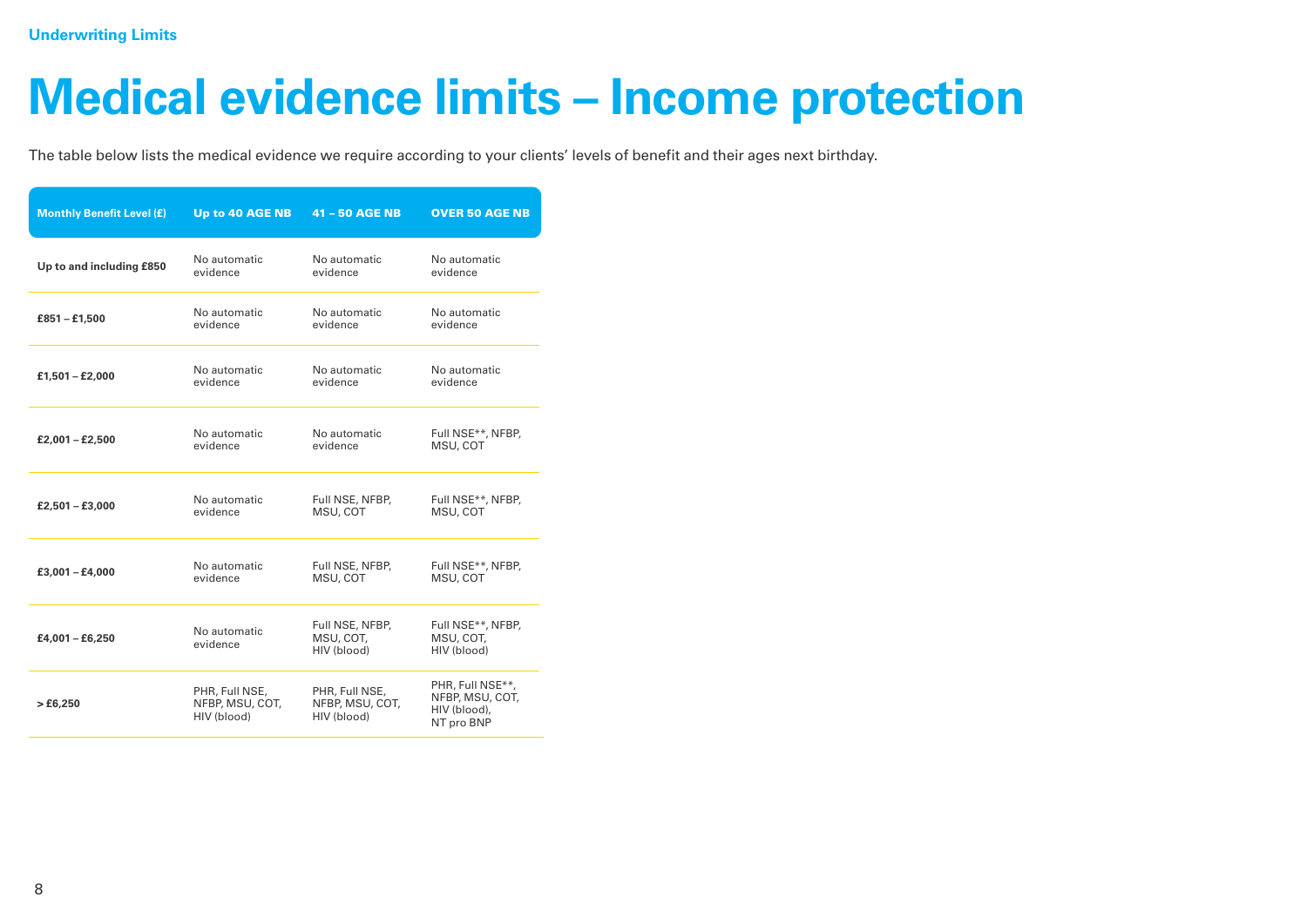#### **Medical evidence limits – Income protection**

The table below lists the medical evidence we require according to your clients' levels of benefit and their ages next birthday.

| <b>Monthly Benefit Level (£)</b> | Up to 40 AGE NB                                  | 41 - 50 AGE NB                                   | <b>OVER 50 AGE NB</b>                                             |
|----------------------------------|--------------------------------------------------|--------------------------------------------------|-------------------------------------------------------------------|
| Up to and including £850         | No automatic                                     | No automatic                                     | No automatic                                                      |
|                                  | evidence                                         | evidence                                         | evidence                                                          |
| $£851 - £1,500$                  | No automatic                                     | No automatic                                     | No automatic                                                      |
|                                  | evidence                                         | evidence                                         | evidence                                                          |
| $£1,501 - £2,000$                | No automatic                                     | No automatic                                     | No automatic                                                      |
|                                  | evidence                                         | evidence                                         | evidence                                                          |
| $£2,001 - £2,500$                | No automatic                                     | No automatic                                     | Full NSE**, NFBP,                                                 |
|                                  | evidence                                         | evidence                                         | MSU, COT                                                          |
| $£2,501 - £3,000$                | No automatic                                     | Full NSE, NFBP,                                  | Full NSE**, NFBP,                                                 |
|                                  | evidence                                         | MSU, COT                                         | MSU, COT                                                          |
| $£3,001 - £4,000$                | No automatic                                     | Full NSE, NFBP,                                  | Full NSE**, NFBP,                                                 |
|                                  | evidence                                         | MSU, COT                                         | MSU, COT                                                          |
| $£4,001 - £6,250$                | No automatic<br>evidence                         | Full NSE, NFBP,<br>MSU, COT,<br>(blood)          | Full NSE**, NFBP,<br>MSU, COT,<br>HIV (blood)                     |
| >£6,250                          | PHR, Full NSE,<br>NFBP, MSU, COT,<br>HIV (blood) | PHR, Full NSE,<br>NFBP, MSU, COT,<br>HIV (blood) | PHR, Full NSE**,<br>NFBP, MSU, COT,<br>HIV (blood),<br>NT pro BNP |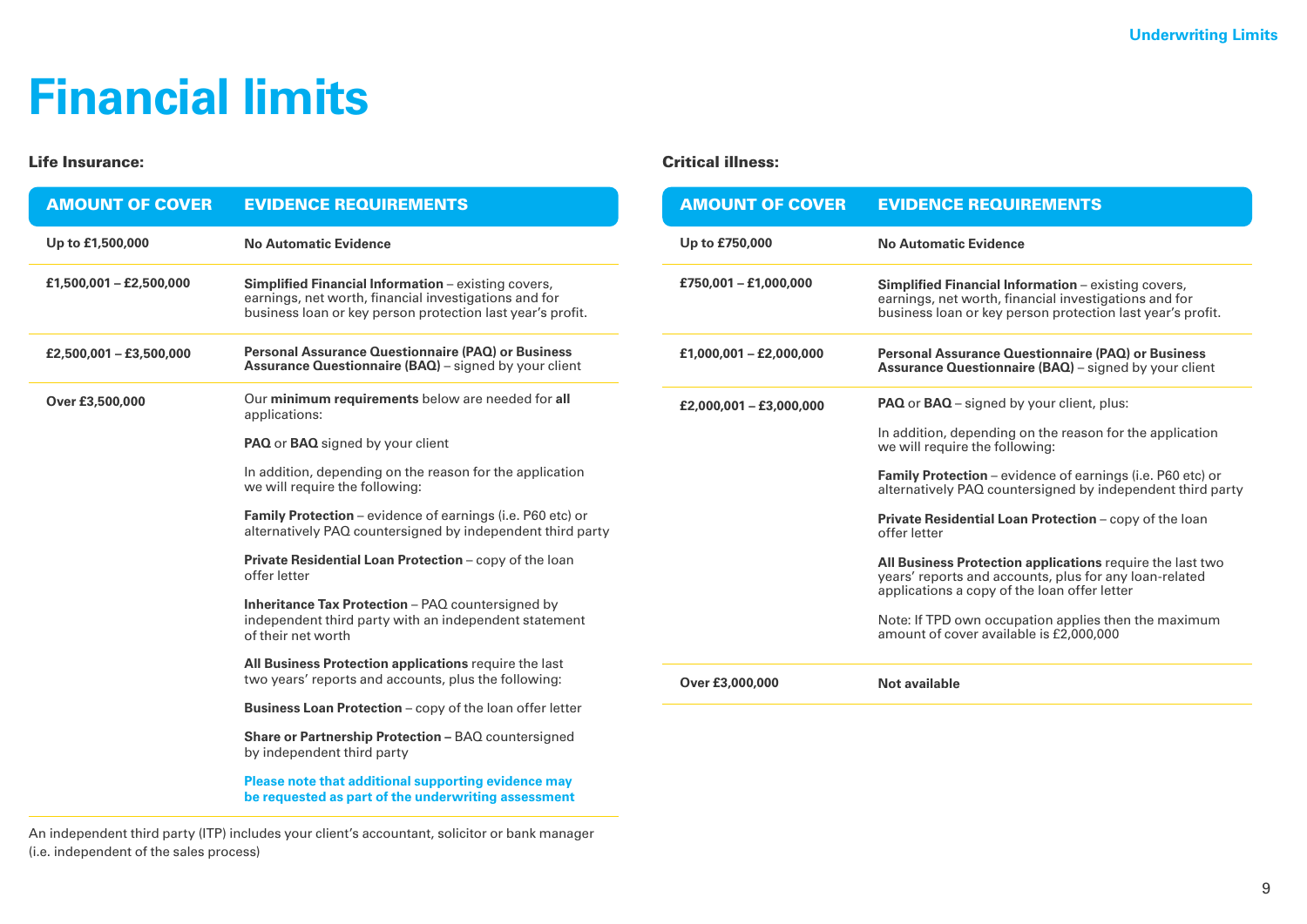#### **Financial limits**

#### Life Insurance: Critical illness:

| <b>AMOUNT OF COVER</b>  | <b>EVIDENCE REQUIREMENTS</b>                                                                                                                                               | <b>AMOUI</b> |
|-------------------------|----------------------------------------------------------------------------------------------------------------------------------------------------------------------------|--------------|
| Up to £1,500,000        | <b>No Automatic Evidence</b>                                                                                                                                               | Up to £75    |
| £1,500,001 - £2,500,000 | Simplified Financial Information - existing covers,<br>earnings, net worth, financial investigations and for<br>business loan or key person protection last year's profit. | £750,001     |
| £2,500,001 - £3,500,000 | <b>Personal Assurance Questionnaire (PAQ) or Business</b><br>Assurance Questionnaire (BAQ) - signed by your client                                                         | £1,000,00    |
| Over £3,500,000         | Our minimum requirements below are needed for all<br>applications:                                                                                                         | £2,000,00    |
|                         | <b>PAQ</b> or <b>BAQ</b> signed by your client                                                                                                                             |              |
|                         | In addition, depending on the reason for the application<br>we will require the following:                                                                                 |              |
|                         | Family Protection - evidence of earnings (i.e. P60 etc) or<br>alternatively PAQ countersigned by independent third party                                                   |              |
|                         | Private Residential Loan Protection - copy of the loan<br>offer letter                                                                                                     |              |
|                         | Inheritance Tax Protection - PAQ countersigned by<br>independent third party with an independent statement<br>of their net worth                                           |              |
|                         | All Business Protection applications require the last<br>two years' reports and accounts, plus the following:                                                              |              |
|                         | <b>Business Loan Protection</b> – copy of the loan offer letter                                                                                                            | Over £3,0    |
|                         |                                                                                                                                                                            |              |
|                         | Share or Partnership Protection - BAQ countersigned<br>by independent third party                                                                                          |              |
|                         | <u>Please note that additional supporting evidence may</u>                                                                                                                 |              |

**Please note that additional supporting evi be requested as part of the underwriting assessment**

An independent third party (ITP) includes your client's accountant, solicitor or bank manager (i.e. independent of the sales process)

| <b>AMOUNT OF COVER</b>  | <b>EVIDENCE REQUIREMENTS</b>                                                                                                                                                      |
|-------------------------|-----------------------------------------------------------------------------------------------------------------------------------------------------------------------------------|
| Up to £750,000          | No Automatic Evidence                                                                                                                                                             |
| £750,001 - £1,000,000   | <b>Simplified Financial Information</b> – existing covers,<br>earnings, net worth, financial investigations and for<br>business loan or key person protection last year's profit. |
| £1,000,001 - £2,000,000 | <b>Personal Assurance Questionnaire (PAQ) or Business</b><br><b>Assurance Questionnaire (BAQ)</b> – signed by your client                                                         |
| £2,000,001 - £3,000,000 | <b>PAQ</b> or <b>BAQ</b> – signed by your client, plus:                                                                                                                           |
|                         | In addition, depending on the reason for the application<br>we will require the following:                                                                                        |
|                         | <b>Family Protection</b> – evidence of earnings (i.e. P60 etc) or<br>alternatively PAQ countersigned by independent third party                                                   |
|                         | <b>Private Residential Loan Protection - copy of the loan</b><br>offer letter                                                                                                     |
|                         | All Business Protection applications require the last two<br>years' reports and accounts, plus for any loan-related<br>applications a copy of the loan offer letter               |
|                         | Note: If TPD own occupation applies then the maximum<br>amount of cover available is £2,000,000                                                                                   |
| Over £3,000,000         | Not available                                                                                                                                                                     |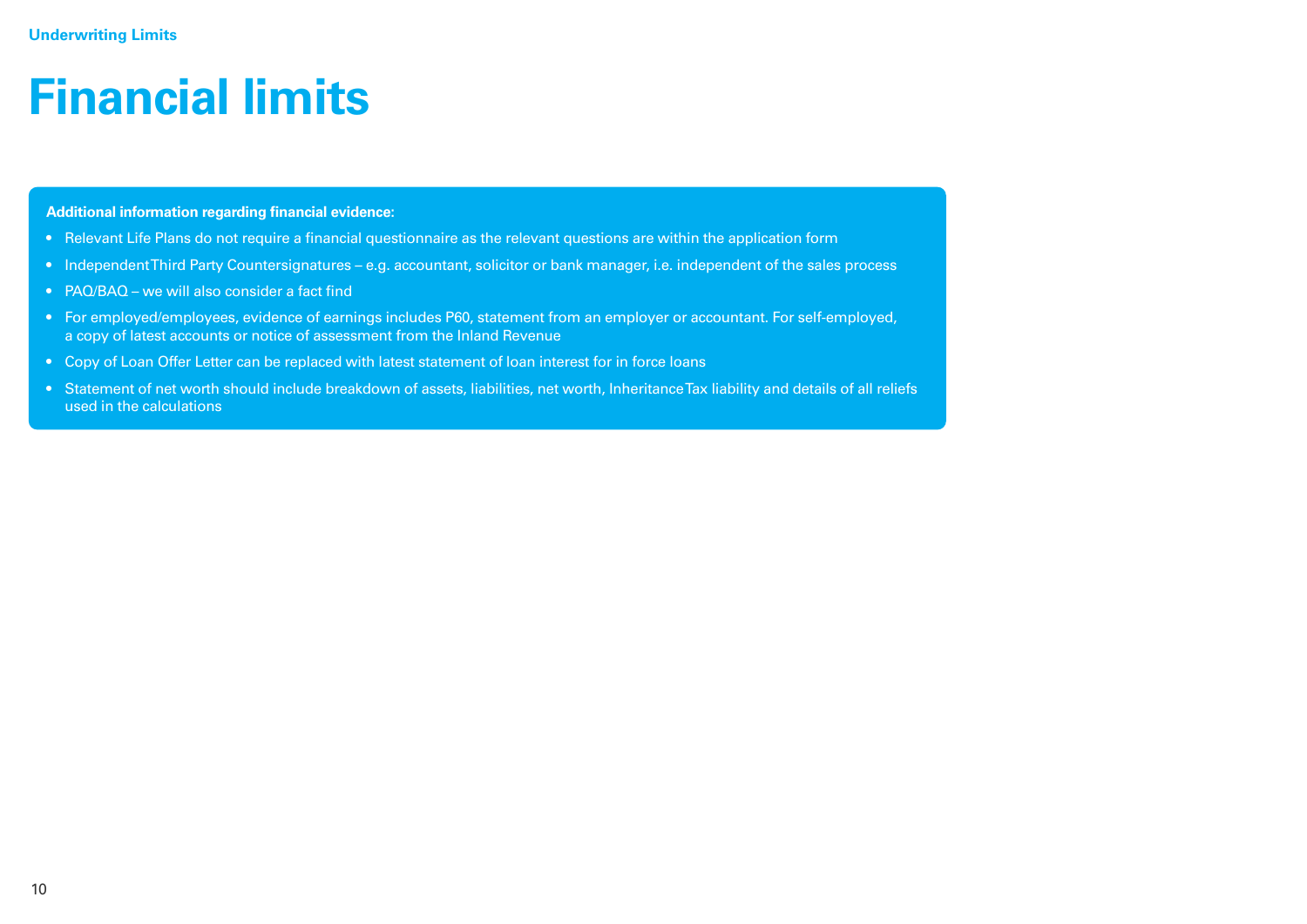#### **Financial limits**

**Additional information regarding financial evidence:**

- Relevant Life Plans do not require a financial questionnaire as the relevant questions are within the application form
- Independent Third Party Countersignatures e.g. accountant, solicitor or bank manager, i.e. independent of the sales process
- PAQ/BAQ we will also consider a fact find
- For employed/employees, evidence of earnings includes P60, statement from an employer or accountant. For self-employed, a copy of latest accounts or notice of assessment from the Inland Revenue
- Copy of Loan Offer Letter can be replaced with latest statement of loan interest for in force loans
- Statement of net worth should include breakdown of assets, liabilities, net worth, Inheritance Tax liability and details of all reliefs used in the calculations